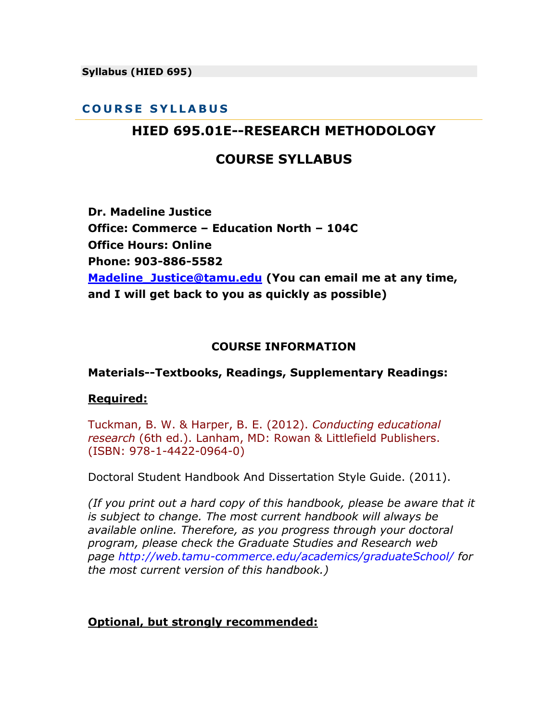**Syllabus (HIED 695)**

#### **C O U R S E S Y L L A B U S**

## **HIED 695.01E--RESEARCH METHODOLOGY**

### **COURSE SYLLABUS**

**Dr. Madeline Justice Office: Commerce – Education North – 104C Office Hours: Online Phone: 903-886-5582 [Madeline\\_Justice@tamu.edu](mailto:Madeline_Justice@tamu.edu) (You can email me at any time, and I will get back to you as quickly as possible)**

#### **COURSE INFORMATION**

#### **Materials--Textbooks, Readings, Supplementary Readings:**

#### **Required:**

Tuckman, B. W. & Harper, B. E. (2012). *Conducting educational research* (6th ed.). Lanham, MD: Rowan & Littlefield Publishers. (ISBN: 978-1-4422-0964-0)

Doctoral Student Handbook And Dissertation Style Guide. (2011).

*(If you print out a hard copy of this handbook, please be aware that it is subject to change. The most current handbook will always be available online. Therefore, as you progress through your doctoral program, please check the Graduate Studies and Research web page http://web.tamu-commerce.edu/academics/graduateSchool/ for the most current version of this handbook.)*

#### **Optional, but strongly recommended:**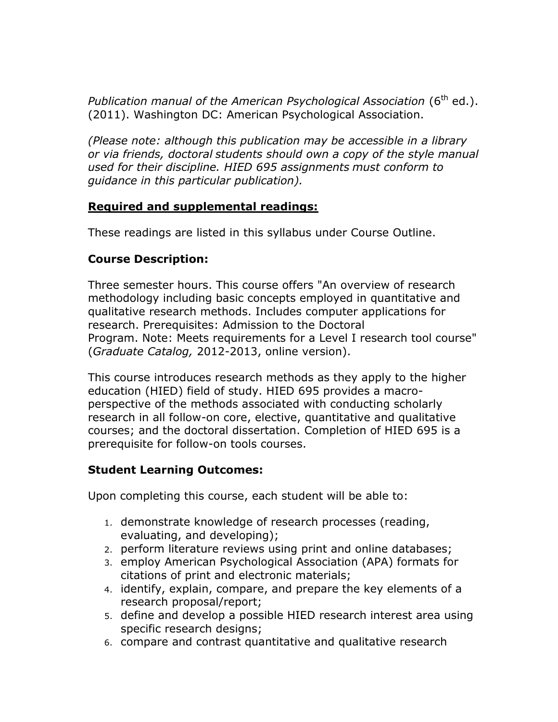Publication manual of the American Psychological Association (6<sup>th</sup> ed.). (2011). Washington DC: American Psychological Association.

*(Please note: although this publication may be accessible in a library or via friends, doctoral students should own a copy of the style manual used for their discipline. HIED 695 assignments must conform to guidance in this particular publication).*

### **Required and supplemental readings:**

These readings are listed in this syllabus under Course Outline.

### **Course Description:**

Three semester hours. This course offers "An overview of research methodology including basic concepts employed in quantitative and qualitative research methods. Includes computer applications for research. Prerequisites: Admission to the Doctoral Program. Note: Meets requirements for a Level I research tool course" (*Graduate Catalog,* 2012-2013, online version).

This course introduces research methods as they apply to the higher education (HIED) field of study. HIED 695 provides a macroperspective of the methods associated with conducting scholarly research in all follow-on core, elective, quantitative and qualitative courses; and the doctoral dissertation. Completion of HIED 695 is a prerequisite for follow-on tools courses.

### **Student Learning Outcomes:**

Upon completing this course, each student will be able to:

- 1. demonstrate knowledge of research processes (reading, evaluating, and developing);
- 2. perform literature reviews using print and online databases;
- 3. employ American Psychological Association (APA) formats for citations of print and electronic materials;
- 4. identify, explain, compare, and prepare the key elements of a research proposal/report;
- 5. define and develop a possible HIED research interest area using specific research designs;
- 6. compare and contrast quantitative and qualitative research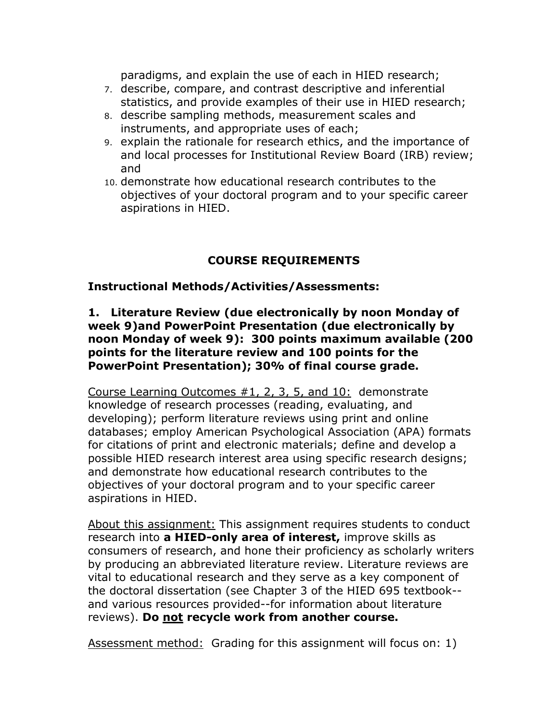paradigms, and explain the use of each in HIED research;

- 7. describe, compare, and contrast descriptive and inferential statistics, and provide examples of their use in HIED research;
- 8. describe sampling methods, measurement scales and instruments, and appropriate uses of each;
- 9. explain the rationale for research ethics, and the importance of and local processes for Institutional Review Board (IRB) review; and
- 10. demonstrate how educational research contributes to the objectives of your doctoral program and to your specific career aspirations in HIED.

### **COURSE REQUIREMENTS**

#### **Instructional Methods/Activities/Assessments:**

#### **1. Literature Review (due electronically by noon Monday of week 9)and PowerPoint Presentation (due electronically by noon Monday of week 9): 300 points maximum available (200 points for the literature review and 100 points for the PowerPoint Presentation); 30% of final course grade.**

Course Learning Outcomes #1, 2, 3, 5, and 10: demonstrate knowledge of research processes (reading, evaluating, and developing); perform literature reviews using print and online databases; employ American Psychological Association (APA) formats for citations of print and electronic materials; define and develop a possible HIED research interest area using specific research designs; and demonstrate how educational research contributes to the objectives of your doctoral program and to your specific career aspirations in HIED.

About this assignment: This assignment requires students to conduct research into **a HIED-only area of interest,** improve skills as consumers of research, and hone their proficiency as scholarly writers by producing an abbreviated literature review. Literature reviews are vital to educational research and they serve as a key component of the doctoral dissertation (see Chapter 3 of the HIED 695 textbook- and various resources provided--for information about literature reviews). **Do not recycle work from another course.**

Assessment method: Grading for this assignment will focus on: 1)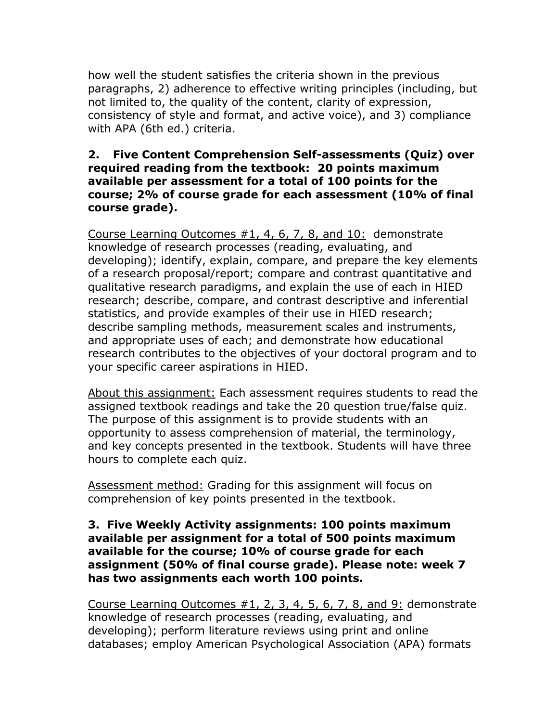how well the student satisfies the criteria shown in the previous paragraphs, 2) adherence to effective writing principles (including, but not limited to, the quality of the content, clarity of expression, consistency of style and format, and active voice), and 3) compliance with APA (6th ed.) criteria.

### **2. Five Content Comprehension Self-assessments (Quiz) over required reading from the textbook: 20 points maximum available per assessment for a total of 100 points for the course; 2% of course grade for each assessment (10% of final course grade).**

Course Learning Outcomes #1, 4, 6, 7, 8, and 10: demonstrate knowledge of research processes (reading, evaluating, and developing); identify, explain, compare, and prepare the key elements of a research proposal/report; compare and contrast quantitative and qualitative research paradigms, and explain the use of each in HIED research; describe, compare, and contrast descriptive and inferential statistics, and provide examples of their use in HIED research; describe sampling methods, measurement scales and instruments, and appropriate uses of each; and demonstrate how educational research contributes to the objectives of your doctoral program and to your specific career aspirations in HIED.

About this assignment: Each assessment requires students to read the assigned textbook readings and take the 20 question true/false quiz. The purpose of this assignment is to provide students with an opportunity to assess comprehension of material, the terminology, and key concepts presented in the textbook. Students will have three hours to complete each quiz.

Assessment method: Grading for this assignment will focus on comprehension of key points presented in the textbook.

#### **3. Five Weekly Activity assignments: 100 points maximum available per assignment for a total of 500 points maximum available for the course; 10% of course grade for each assignment (50% of final course grade). Please note: week 7 has two assignments each worth 100 points.**

Course Learning Outcomes #1, 2, 3, 4, 5, 6, 7, 8, and 9: demonstrate knowledge of research processes (reading, evaluating, and developing); perform literature reviews using print and online databases; employ American Psychological Association (APA) formats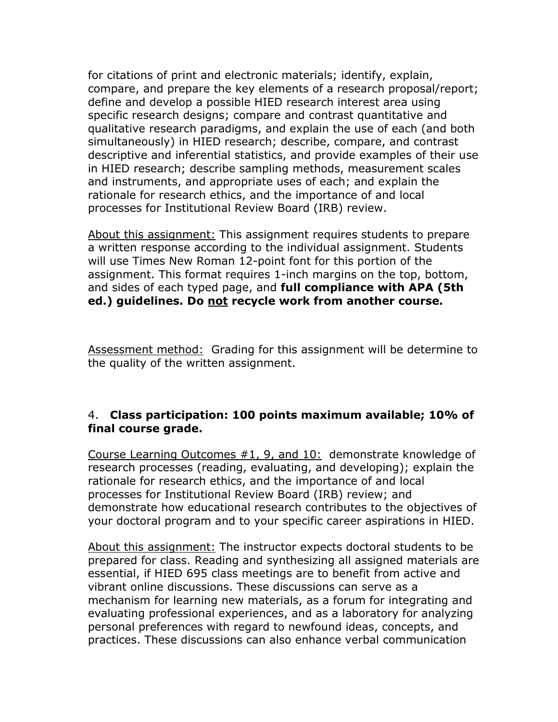for citations of print and electronic materials; identify, explain, compare, and prepare the key elements of a research proposal/report; define and develop a possible HIED research interest area using specific research designs; compare and contrast quantitative and qualitative research paradigms, and explain the use of each (and both simultaneously) in HIED research; describe, compare, and contrast descriptive and inferential statistics, and provide examples of their use in HIED research; describe sampling methods, measurement scales and instruments, and appropriate uses of each; and explain the rationale for research ethics, and the importance of and local processes for Institutional Review Board (IRB) review.

About this assignment: This assignment requires students to prepare a written response according to the individual assignment. Students will use Times New Roman 12-point font for this portion of the assignment. This format requires 1-inch margins on the top, bottom, and sides of each typed page, and **full compliance with APA (5th ed.) guidelines. Do not recycle work from another course.**

Assessment method: Grading for this assignment will be determine to the quality of the written assignment.

### 4. **Class participation: 100 points maximum available; 10% of final course grade.**

Course Learning Outcomes #1, 9, and 10: demonstrate knowledge of research processes (reading, evaluating, and developing); explain the rationale for research ethics, and the importance of and local processes for Institutional Review Board (IRB) review; and demonstrate how educational research contributes to the objectives of your doctoral program and to your specific career aspirations in HIED.

About this assignment: The instructor expects doctoral students to be prepared for class. Reading and synthesizing all assigned materials are essential, if HIED 695 class meetings are to benefit from active and vibrant online discussions. These discussions can serve as a mechanism for learning new materials, as a forum for integrating and evaluating professional experiences, and as a laboratory for analyzing personal preferences with regard to newfound ideas, concepts, and practices. These discussions can also enhance verbal communication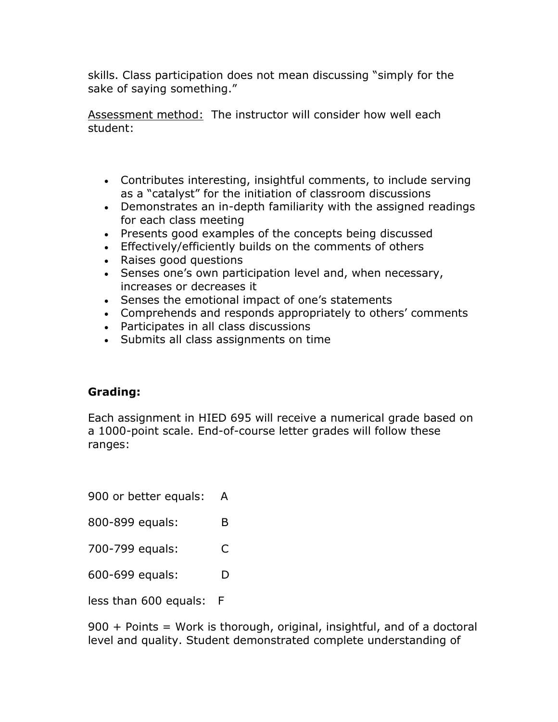skills. Class participation does not mean discussing "simply for the sake of saying something."

Assessment method: The instructor will consider how well each student:

- Contributes interesting, insightful comments, to include serving as a "catalyst" for the initiation of classroom discussions
- Demonstrates an in-depth familiarity with the assigned readings for each class meeting
- Presents good examples of the concepts being discussed
- Effectively/efficiently builds on the comments of others
- Raises good questions
- Senses one's own participation level and, when necessary, increases or decreases it
- Senses the emotional impact of one's statements
- Comprehends and responds appropriately to others' comments
- Participates in all class discussions
- Submits all class assignments on time

### **Grading:**

Each assignment in HIED 695 will receive a numerical grade based on a 1000-point scale. End-of-course letter grades will follow these ranges:

900 or better equals: A

800-899 equals: B

700-799 equals: C

600-699 equals: D

less than 600 equals: F

900 + Points = Work is thorough, original, insightful, and of a doctoral level and quality. Student demonstrated complete understanding of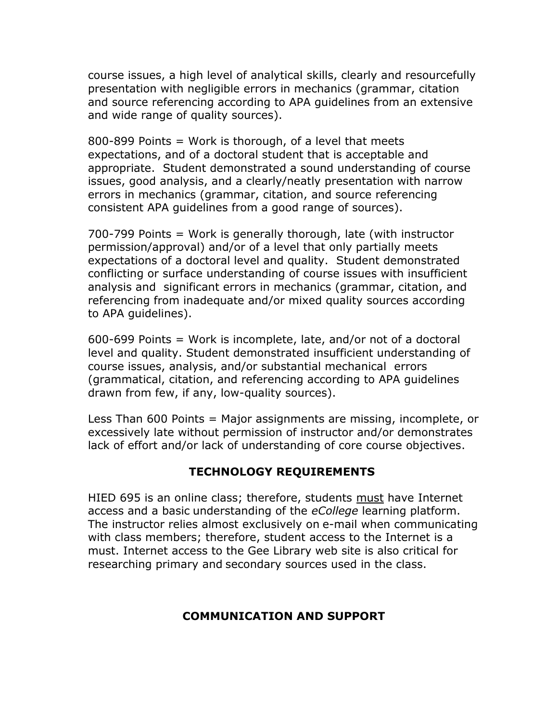course issues, a high level of analytical skills, clearly and resourcefully presentation with negligible errors in mechanics (grammar, citation and source referencing according to APA guidelines from an extensive and wide range of quality sources).

800-899 Points = Work is thorough, of a level that meets expectations, and of a doctoral student that is acceptable and appropriate. Student demonstrated a sound understanding of course issues, good analysis, and a clearly/neatly presentation with narrow errors in mechanics (grammar, citation, and source referencing consistent APA guidelines from a good range of sources).

700-799 Points = Work is generally thorough, late (with instructor permission/approval) and/or of a level that only partially meets expectations of a doctoral level and quality. Student demonstrated conflicting or surface understanding of course issues with insufficient analysis and significant errors in mechanics (grammar, citation, and referencing from inadequate and/or mixed quality sources according to APA guidelines).

600-699 Points = Work is incomplete, late, and/or not of a doctoral level and quality. Student demonstrated insufficient understanding of course issues, analysis, and/or substantial mechanical errors (grammatical, citation, and referencing according to APA guidelines drawn from few, if any, low-quality sources).

Less Than 600 Points = Major assignments are missing, incomplete, or excessively late without permission of instructor and/or demonstrates lack of effort and/or lack of understanding of core course objectives.

#### **TECHNOLOGY REQUIREMENTS**

HIED 695 is an online class; therefore, students must have Internet access and a basic understanding of the *eCollege* learning platform. The instructor relies almost exclusively on e-mail when communicating with class members; therefore, student access to the Internet is a must. Internet access to the Gee Library web site is also critical for researching primary and secondary sources used in the class.

#### **COMMUNICATION AND SUPPORT**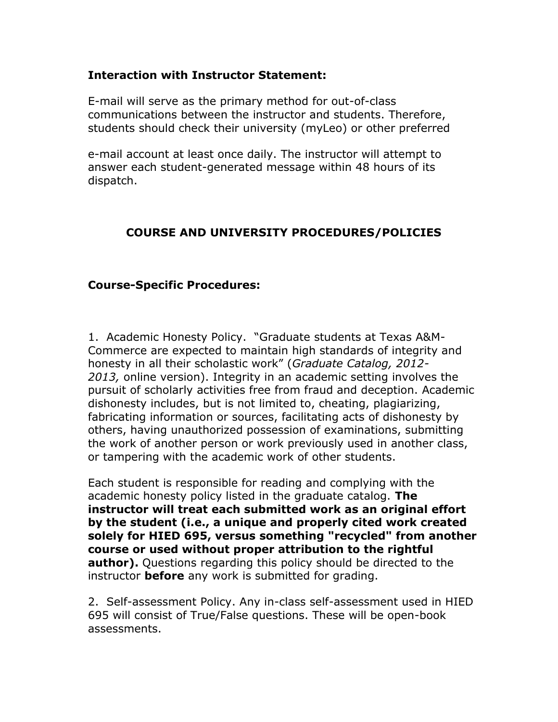#### **Interaction with Instructor Statement:**

E-mail will serve as the primary method for out-of-class communications between the instructor and students. Therefore, students should check their university (myLeo) or other preferred

e-mail account at least once daily. The instructor will attempt to answer each student-generated message within 48 hours of its dispatch.

#### **COURSE AND UNIVERSITY PROCEDURES/POLICIES**

#### **Course-Specific Procedures:**

1. Academic Honesty Policy. "Graduate students at Texas A&M-Commerce are expected to maintain high standards of integrity and honesty in all their scholastic work" (*Graduate Catalog, 2012- 2013,* online version). Integrity in an academic setting involves the pursuit of scholarly activities free from fraud and deception. Academic dishonesty includes, but is not limited to, cheating, plagiarizing, fabricating information or sources, facilitating acts of dishonesty by others, having unauthorized possession of examinations, submitting the work of another person or work previously used in another class, or tampering with the academic work of other students.

Each student is responsible for reading and complying with the academic honesty policy listed in the graduate catalog. **The instructor will treat each submitted work as an original effort by the student (i.e., a unique and properly cited work created solely for HIED 695, versus something "recycled" from another course or used without proper attribution to the rightful author).** Questions regarding this policy should be directed to the instructor **before** any work is submitted for grading.

2. Self-assessment Policy. Any in-class self-assessment used in HIED 695 will consist of True/False questions. These will be open-book assessments.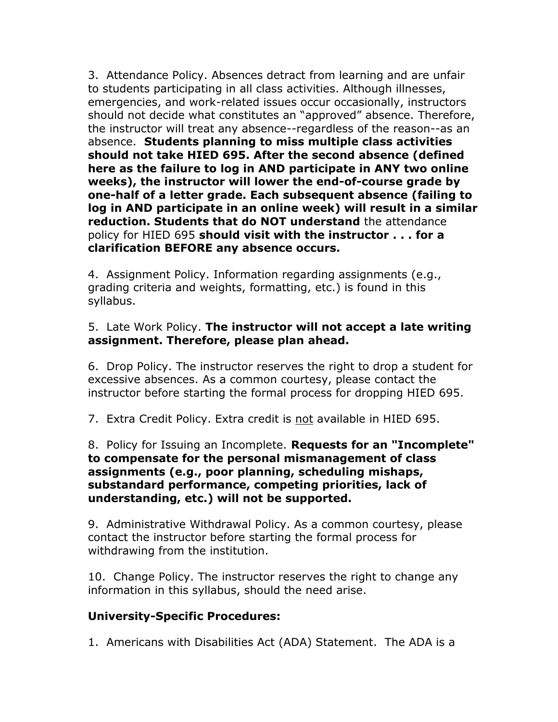3. Attendance Policy. Absences detract from learning and are unfair to students participating in all class activities. Although illnesses, emergencies, and work-related issues occur occasionally, instructors should not decide what constitutes an "approved" absence. Therefore, the instructor will treat any absence--regardless of the reason--as an absence. **Students planning to miss multiple class activities should not take HIED 695. After the second absence (defined here as the failure to log in AND participate in ANY two online weeks), the instructor will lower the end-of-course grade by one-half of a letter grade. Each subsequent absence (failing to log in AND participate in an online week) will result in a similar reduction. Students that do NOT understand** the attendance policy for HIED 695 **should visit with the instructor . . . for a clarification BEFORE any absence occurs.**

4. Assignment Policy. Information regarding assignments (e.g., grading criteria and weights, formatting, etc.) is found in this syllabus.

#### 5. Late Work Policy. **The instructor will not accept a late writing assignment. Therefore, please plan ahead.**

6. Drop Policy. The instructor reserves the right to drop a student for excessive absences. As a common courtesy, please contact the instructor before starting the formal process for dropping HIED 695.

7. Extra Credit Policy. Extra credit is not available in HIED 695.

#### 8. Policy for Issuing an Incomplete. **Requests for an "Incomplete" to compensate for the personal mismanagement of class assignments (e.g., poor planning, scheduling mishaps, substandard performance, competing priorities, lack of understanding, etc.) will not be supported.**

9. Administrative Withdrawal Policy. As a common courtesy, please contact the instructor before starting the formal process for withdrawing from the institution.

10. Change Policy. The instructor reserves the right to change any information in this syllabus, should the need arise.

### **University-Specific Procedures:**

1. Americans with Disabilities Act (ADA) Statement. The ADA is a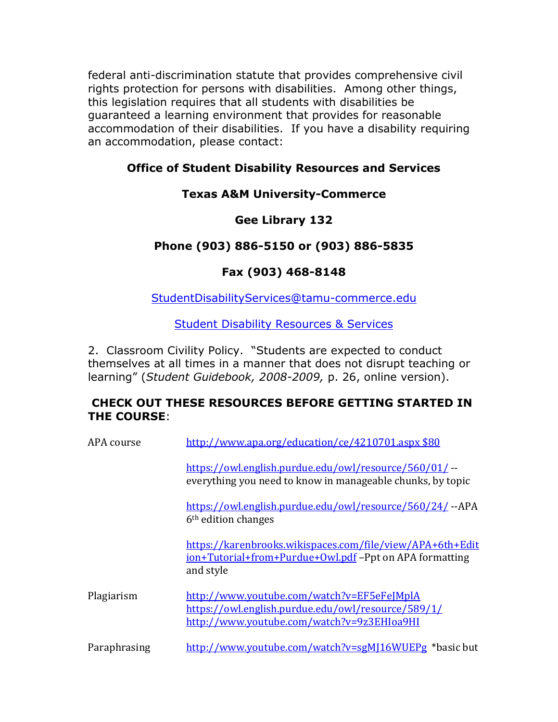federal anti-discrimination statute that provides comprehensive civil rights protection for persons with disabilities. Among other things, this legislation requires that all students with disabilities be guaranteed a learning environment that provides for reasonable accommodation of their disabilities. If you have a disability requiring an accommodation, please contact:

### **Office of Student Disability Resources and Services**

### **Texas A&M University-Commerce**

## **Gee Library 132**

## **Phone (903) 886-5150 or (903) 886-5835**

## **Fax (903) 468-8148**

[StudentDisabilityServices@tamu-commerce.edu](mailto:StudentDisabilityServices@tamu-commerce.edu)

**[Student Disability Resources & Services](http://web.tamu-commerce.edu/studentLife/campusServices/studentDisabilityResourcesAndServices/)** 

2. Classroom Civility Policy. "Students are expected to conduct themselves at all times in a manner that does not disrupt teaching or learning" (*Student Guidebook, 2008-2009,* p. 26, online version).

### **CHECK OUT THESE RESOURCES BEFORE GETTING STARTED IN THE COURSE**:

| APA course   | http://www.apa.org/education/ce/4210701.aspx \$80                                                                                              |
|--------------|------------------------------------------------------------------------------------------------------------------------------------------------|
|              | https://owl.english.purdue.edu/owl/resource/560/01/ --<br>everything you need to know in manageable chunks, by topic                           |
|              | https://owl.english.purdue.edu/owl/resource/560/24/--APA<br>6 <sup>th</sup> edition changes                                                    |
|              | https://karenbrooks.wikispaces.com/file/view/APA+6th+Edit<br><u>ion+Tutorial+from+Purdue+Owl.pdf</u> -Ppt on APA formatting<br>and style       |
| Plagiarism   | http://www.youtube.com/watch?v=EF5eFeJMplA<br>https://owl.english.purdue.edu/owl/resource/589/1/<br>http://www.youtube.com/watch?v=9z3EHIoa9HI |
| Paraphrasing | http://www.youtube.com/watch?v=sgMJ16WUEPg *basic but                                                                                          |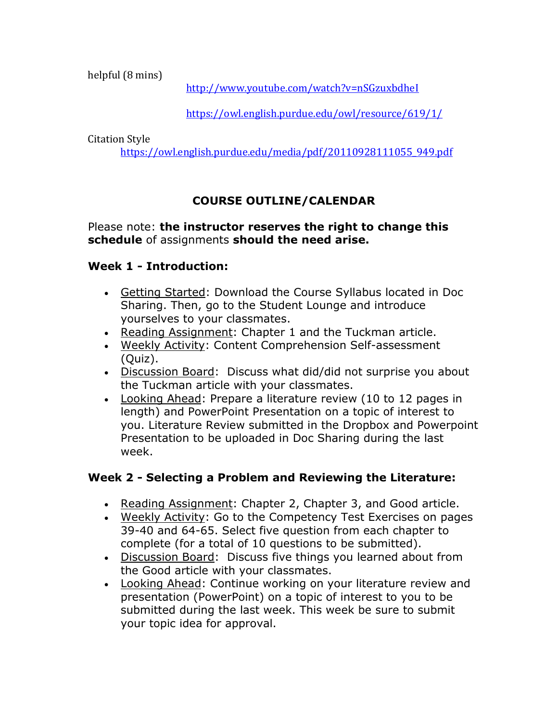helpful (8 mins)

<http://www.youtube.com/watch?v=nSGzuxbdheI>

<https://owl.english.purdue.edu/owl/resource/619/1/>

Citation Style

[https://owl.english.purdue.edu/media/pdf/20110928111055\\_949.pdf](https://owl.english.purdue.edu/media/pdf/20110928111055_949.pdf)

# **COURSE OUTLINE/CALENDAR**

Please note: **the instructor reserves the right to change this schedule** of assignments **should the need arise.**

## **Week 1 - Introduction:**

- Getting Started: Download the Course Syllabus located in Doc Sharing. Then, go to the Student Lounge and introduce yourselves to your classmates.
- Reading Assignment: Chapter 1 and the Tuckman article.
- Weekly Activity: Content Comprehension Self-assessment (Quiz).
- Discussion Board: Discuss what did/did not surprise you about the Tuckman article with your classmates.
- Looking Ahead: Prepare a literature review (10 to 12 pages in length) and PowerPoint Presentation on a topic of interest to you. Literature Review submitted in the Dropbox and Powerpoint Presentation to be uploaded in Doc Sharing during the last week.

## **Week 2 - Selecting a Problem and Reviewing the Literature:**

- Reading Assignment: Chapter 2, Chapter 3, and Good article.
- Weekly Activity: Go to the Competency Test Exercises on pages 39-40 and 64-65. Select five question from each chapter to complete (for a total of 10 questions to be submitted).
- Discussion Board: Discuss five things you learned about from the Good article with your classmates.
- Looking Ahead: Continue working on your literature review and presentation (PowerPoint) on a topic of interest to you to be submitted during the last week. This week be sure to submit your topic idea for approval.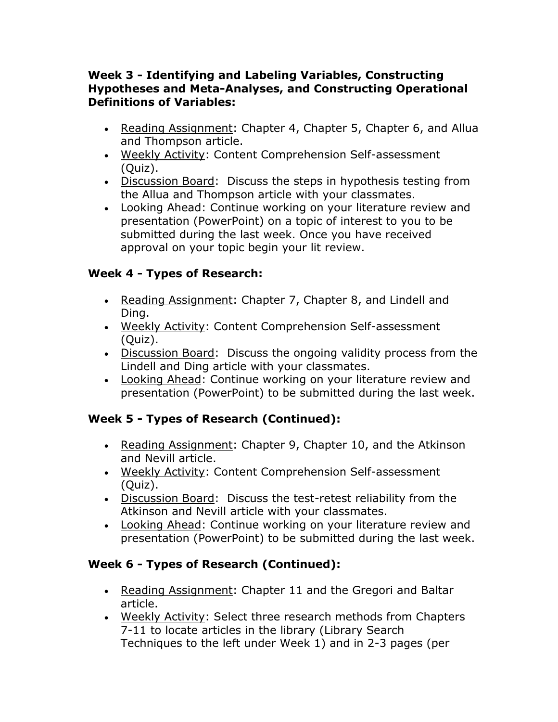### **Week 3 - Identifying and Labeling Variables, Constructing Hypotheses and Meta-Analyses, and Constructing Operational Definitions of Variables:**

- Reading Assignment: Chapter 4, Chapter 5, Chapter 6, and Allua and Thompson article.
- Weekly Activity: Content Comprehension Self-assessment (Quiz).
- Discussion Board: Discuss the steps in hypothesis testing from the Allua and Thompson article with your classmates.
- Looking Ahead: Continue working on your literature review and presentation (PowerPoint) on a topic of interest to you to be submitted during the last week. Once you have received approval on your topic begin your lit review.

### **Week 4 - Types of Research:**

- Reading Assignment: Chapter 7, Chapter 8, and Lindell and Ding.
- Weekly Activity: Content Comprehension Self-assessment (Quiz).
- Discussion Board: Discuss the ongoing validity process from the Lindell and Ding article with your classmates.
- Looking Ahead: Continue working on your literature review and presentation (PowerPoint) to be submitted during the last week.

## **Week 5 - Types of Research (Continued):**

- Reading Assignment: Chapter 9, Chapter 10, and the Atkinson and Nevill article.
- Weekly Activity: Content Comprehension Self-assessment (Quiz).
- Discussion Board: Discuss the test-retest reliability from the Atkinson and Nevill article with your classmates.
- Looking Ahead: Continue working on your literature review and presentation (PowerPoint) to be submitted during the last week.

## **Week 6 - Types of Research (Continued):**

- Reading Assignment: Chapter 11 and the Gregori and Baltar article.
- Weekly Activity: Select three research methods from Chapters 7-11 to locate articles in the library (Library Search Techniques to the left under Week 1) and in 2-3 pages (per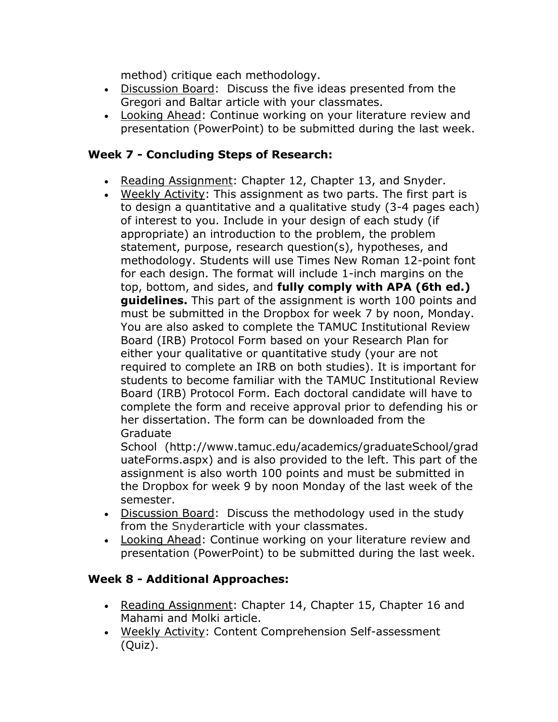method) critique each methodology.

- Discussion Board: Discuss the five ideas presented from the Gregori and Baltar article with your classmates.
- Looking Ahead: Continue working on your literature review and presentation (PowerPoint) to be submitted during the last week.

## **Week 7 - Concluding Steps of Research:**

- Reading Assignment: Chapter 12, Chapter 13, and Snyder.
- Weekly Activity: This assignment as two parts. The first part is to design a quantitative and a qualitative study (3-4 pages each) of interest to you. Include in your design of each study (if appropriate) an introduction to the problem, the problem statement, purpose, research question(s), hypotheses, and methodology. Students will use Times New Roman 12-point font for each design. The format will include 1-inch margins on the top, bottom, and sides, and **fully comply with APA (6th ed.) guidelines.** This part of the assignment is worth 100 points and must be submitted in the Dropbox for week 7 by noon, Monday. You are also asked to complete the TAMUC Institutional Review Board (IRB) Protocol Form based on your Research Plan for either your qualitative or quantitative study (your are not required to complete an IRB on both studies). It is important for students to become familiar with the TAMUC Institutional Review Board (IRB) Protocol Form. Each doctoral candidate will have to complete the form and receive approval prior to defending his or her dissertation. The form can be downloaded from the Graduate

School (http://www.tamuc.edu/academics/graduateSchool/grad uateForms.aspx) and is also provided to the left. This part of the assignment is also worth 100 points and must be submitted in the Dropbox for week 9 by noon Monday of the last week of the semester.

- Discussion Board: Discuss the methodology used in the study from the Snyderarticle with your classmates.
- Looking Ahead: Continue working on your literature review and presentation (PowerPoint) to be submitted during the last week.

## **Week 8 - Additional Approaches:**

- Reading Assignment: Chapter 14, Chapter 15, Chapter 16 and Mahami and Molki article.
- Weekly Activity: Content Comprehension Self-assessment (Quiz).